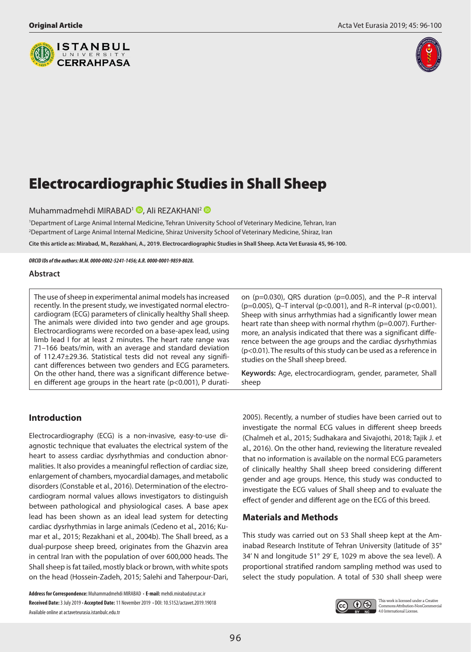



# Electrocardiographic Studies in Shall Sheep

Muhammadmehdi MIRABAD<sup>1</sup> D[,](http://orcid.org/0000-0002-5241-1456) Ali REZAKHANI<sup>2</sup> D

1 Department of Large Animal Internal Medicine, Tehran University School of Veterinary Medicine, Tehran, Iran 2 Department of Large Animal Internal Medicine, Shiraz University School of Veterinary Medicine, Shiraz, Iran

**Cite this article as: Mirabad, M., Rezakhani, A., 2019. Electrocardiographic Studies in Shall Sheep. Acta Vet Eurasia 45, 96-100.** 

*ORCID IDs of the authors: M.M. 0000-0002-5241-1456; A.R. 0000-0001-9859-8028.*

#### **Abstract**

The use of sheep in experimental animal models has increased recently. In the present study, we investigated normal electrocardiogram (ECG) parameters of clinically healthy Shall sheep. The animals were divided into two gender and age groups. Electrocardiograms were recorded on a base-apex lead, using limb lead I for at least 2 minutes. The heart rate range was 71–166 beats/min, with an average and standard deviation of 112.47±29.36. Statistical tests did not reveal any significant differences between two genders and ECG parameters. On the other hand, there was a significant difference between different age groups in the heart rate (p<0.001), P durati-

on (p=0.030), QRS duration (p=0.005), and the P–R interval (p=0.005), Q–T interval (p<0.001), and R–R interval (p<0.001). Sheep with sinus arrhythmias had a significantly lower mean heart rate than sheep with normal rhythm (p=0.007). Furthermore, an analysis indicated that there was a significant difference between the age groups and the cardiac dysrhythmias (p<0.01). The results of this study can be used as a reference in studies on the Shall sheep breed.

**Keywords:** Age, electrocardiogram, gender, parameter, Shall sheep

## **Introduction**

Electrocardiography (ECG) is a non-invasive, easy-to-use diagnostic technique that evaluates the electrical system of the heart to assess cardiac dysrhythmias and conduction abnormalities. It also provides a meaningful reflection of cardiac size, enlargement of chambers, myocardial damages, and metabolic disorders (Constable et al., 2016). Determination of the electrocardiogram normal values allows investigators to distinguish between pathological and physiological cases. A base apex lead has been shown as an ideal lead system for detecting cardiac dysrhythmias in large animals (Cedeno et al., 2016; Kumar et al., 2015; Rezakhani et al., 2004b). The Shall breed, as a dual-purpose sheep breed, originates from the Ghazvin area in central Iran with the population of over 600,000 heads. The Shall sheep is fat tailed, mostly black or brown, with white spots on the head (Hossein-Zadeh, 2015; Salehi and Taherpour-Dari,

**Address for Correspondence:** Muhammadmehdi MIRABAD • **E-mail:** mehdi.mirabad@ut.ac.ir **Received Date:** 3 July 2019 • **Accepted Date:** 11 November 2019 • DOI: 10.5152/actavet.2019.19018 Available online at actaveteurasia.istanbulc.edu.tr

2005). Recently, a number of studies have been carried out to investigate the normal ECG values in different sheep breeds (Chalmeh et al., 2015; Sudhakara and Sivajothi, 2018; Tajik J. et al., 2016). On the other hand, reviewing the literature revealed that no information is available on the normal ECG parameters of clinically healthy Shall sheep breed considering different gender and age groups. Hence, this study was conducted to investigate the ECG values of Shall sheep and to evaluate the effect of gender and different age on the ECG of this breed.

## **Materials and Methods**

This study was carried out on 53 Shall sheep kept at the Aminabad Research Institute of Tehran University (latitude of 35° 34' N and longitude 51° 29' E, 1029 m above the sea level). A proportional stratified random sampling method was used to select the study population. A total of 530 shall sheep were

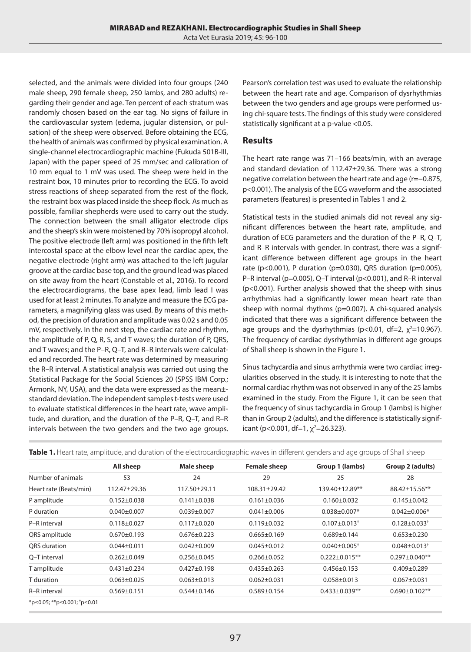selected, and the animals were divided into four groups (240 male sheep, 290 female sheep, 250 lambs, and 280 adults) regarding their gender and age. Ten percent of each stratum was randomly chosen based on the ear tag. No signs of failure in the cardiovascular system (edema, jugular distension, or pulsation) of the sheep were observed. Before obtaining the ECG, the health of animals was confirmed by physical examination. A single-channel electrocardiographic machine (Fukuda 501B-III, Japan) with the paper speed of 25 mm/sec and calibration of 10 mm equal to 1 mV was used. The sheep were held in the restraint box, 10 minutes prior to recording the ECG. To avoid stress reactions of sheep separated from the rest of the flock, the restraint box was placed inside the sheep flock. As much as possible, familiar shepherds were used to carry out the study. The connection between the small alligator electrode clips and the sheep's skin were moistened by 70% isopropyl alcohol. The positive electrode (left arm) was positioned in the fifth left intercostal space at the elbow level near the cardiac apex, the negative electrode (right arm) was attached to the left jugular groove at the cardiac base top, and the ground lead was placed on site away from the heart (Constable et al., 2016). To record the electrocardiograms, the base apex lead, limb lead I was used for at least 2 minutes. To analyze and measure the ECG parameters, a magnifying glass was used. By means of this method, the precision of duration and amplitude was 0.02 s and 0.05 mV, respectively. In the next step, the cardiac rate and rhythm, the amplitude of P, Q, R, S, and T waves; the duration of P, QRS, and T waves; and the P–R, Q–T, and R–R intervals were calculated and recorded. The heart rate was determined by measuring the R–R interval. A statistical analysis was carried out using the Statistical Package for the Social Sciences 20 (SPSS IBM Corp.; Armonk, NY, USA), and the data were expressed as the mean± standard deviation. The independent samples t-tests were used to evaluate statistical differences in the heart rate, wave amplitude, and duration, and the duration of the P–R, Q–T, and R–R intervals between the two genders and the two age groups. Pearson's correlation test was used to evaluate the relationship between the heart rate and age. Comparison of dysrhythmias between the two genders and age groups were performed using chi-square tests. The findings of this study were considered statistically significant at a p-value <0.05.

#### **Results**

The heart rate range was 71–166 beats/min, with an average and standard deviation of 112.47±29.36. There was a strong negative correlation between the heart rate and age (r=−0.875, p<0.001). The analysis of the ECG waveform and the associated parameters (features) is presented in Tables 1 and 2.

Statistical tests in the studied animals did not reveal any significant differences between the heart rate, amplitude, and duration of ECG parameters and the duration of the P–R, Q–T, and R–R intervals with gender. In contrast, there was a significant difference between different age groups in the heart rate (p<0.001), P duration (p=0.030), QRS duration (p=0.005), P–R interval (p=0.005), Q–T interval (p<0.001), and R–R interval (p<0.001). Further analysis showed that the sheep with sinus arrhythmias had a significantly lower mean heart rate than sheep with normal rhythms (p=0.007). A chi-squared analysis indicated that there was a significant difference between the age groups and the dysrhythmias ( $p$ <0.01, df=2,  $\chi^2$ =10.967). The frequency of cardiac dysrhythmias in different age groups of Shall sheep is shown in the Figure 1.

Sinus tachycardia and sinus arrhythmia were two cardiac irregularities observed in the study. It is interesting to note that the normal cardiac rhythm was not observed in any of the 25 lambs examined in the study. From the Figure 1, it can be seen that the frequency of sinus tachycardia in Group 1 (lambs) is higher than in Group 2 (adults), and the difference is statistically significant (p<0.001, df=1,  $\chi^2$ =26.323).

|                                | All sheep         | Male sheep        | <b>Female sheep</b> | Group 1 (lambs)                | Group 2 (adults)             |
|--------------------------------|-------------------|-------------------|---------------------|--------------------------------|------------------------------|
| Number of animals              | 53                | 24                | 29                  | 25                             | 28                           |
| Heart rate (Beats/min)         | $112.47 + 29.36$  | $117.50 + 29.11$  | $108.31 \pm 29.42$  | 139.40±12.89**                 | 88.42±15.56**                |
| P amplitude                    | $0.152 + 0.038$   | $0.141 \pm 0.038$ | $0.161 \pm 0.036$   | $0.160 + 0.032$                | $0.145 + 0.042$              |
| P duration                     | $0.040 + 0.007$   | $0.039 + 0.007$   | $0.041 \pm 0.006$   | $0.038 + 0.007*$               | $0.042 \pm 0.006*$           |
| P-R interval                   | $0.118 + 0.027$   | $0.117 + 0.020$   | $0.119 + 0.032$     | $0.107 \pm 0.013$ <sup>+</sup> | $0.128 \pm 0.033^+$          |
| QRS amplitude                  | $0.670 \pm 0.193$ | $0.676 + 0.223$   | $0.665 + 0.169$     | $0.689 + 0.144$                | $0.653 + 0.230$              |
| <b>ORS</b> duration            | $0.044 \pm 0.011$ | $0.042 \pm 0.009$ | $0.045 \pm 0.012$   | $0.040 + 0.005$ <sup>+</sup>   | $0.048 + 0.013$ <sup>+</sup> |
| O-T interval                   | $0.262 + 0.049$   | $0.256 + 0.045$   | $0.266 + 0.052$     | $0.222 + 0.015**$              | $0.297 \pm 0.040$ **         |
| T amplitude                    | $0.431 \pm 0.234$ | $0.427 \pm 0.198$ | $0.435 + 0.263$     | $0.456 + 0.153$                | $0.409 + 0.289$              |
| T duration                     | $0.063 + 0.025$   | $0.063 + 0.013$   | $0.062 + 0.031$     | $0.058 + 0.013$                | $0.067 + 0.031$              |
| R-R interval                   | $0.569 \pm 0.151$ | $0.544 \pm 0.146$ | $0.589 \pm 0.154$   | $0.433 \pm 0.039**$            | $0.690 \pm 0.102$ **         |
| *p≤0.05; **p≤0.001; $tp$ ≤0.01 |                   |                   |                     |                                |                              |

**Table 1.** Heart rate, amplitude, and duration of the electrocardiographic waves in different genders and age groups of Shall sheep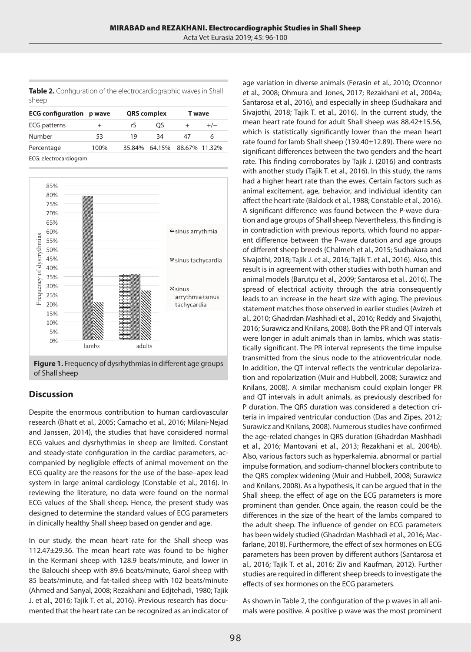**Table 2.** Configuration of the electrocardiographic waves in Shall sheep

| <b>ECG configuration p</b> wave |      |    | <b>QRS</b> complex          |    | <b>T</b> wave |  |
|---------------------------------|------|----|-----------------------------|----|---------------|--|
| <b>ECG</b> patterns             |      | r٢ | OS                          |    | $+/-$         |  |
| Number                          | 53   | 19 | 34                          | 47 | h             |  |
| Percentage                      | 100% |    | 35.84% 64.15% 88.67% 11.32% |    |               |  |

ECG: electrocardiogram



**Figure 1.** Frequency of dysrhythmias in different age groups of Shall sheep

## **Discussion**

Despite the enormous contribution to human cardiovascular research (Bhatt et al., 2005; Camacho et al., 2016; Milani-Nejad and Janssen, 2014), the studies that have considered normal ECG values and dysrhythmias in sheep are limited. Constant and steady-state configuration in the cardiac parameters, accompanied by negligible effects of animal movement on the ECG quality are the reasons for the use of the base–apex lead system in large animal cardiology (Constable et al., 2016). In reviewing the literature, no data were found on the normal ECG values of the Shall sheep. Hence, the present study was designed to determine the standard values of ECG parameters in clinically healthy Shall sheep based on gender and age.

In our study, the mean heart rate for the Shall sheep was 112.47±29.36. The mean heart rate was found to be higher in the Kermani sheep with 128.9 beats/minute, and lower in the Balouchi sheep with 89.6 beats/minute, Garol sheep with 85 beats/minute, and fat-tailed sheep with 102 beats/minute (Ahmed and Sanyal, 2008; Rezakhani and Edjtehadi, 1980; Tajik J. et al., 2016; Tajik T. et al., 2016). Previous research has documented that the heart rate can be recognized as an indicator of

age variation in diverse animals (Ferasin et al., 2010; O'connor et al., 2008; Ohmura and Jones, 2017; Rezakhani et al., 2004a; Santarosa et al., 2016), and especially in sheep (Sudhakara and Sivajothi, 2018; Tajik T. et al., 2016). In the current study, the mean heart rate found for adult Shall sheep was 88.42±15.56, which is statistically significantly lower than the mean heart rate found for lamb Shall sheep (139.40±12.89). There were no significant differences between the two genders and the heart rate. This finding corroborates by Tajik J. (2016) and contrasts with another study (Tajik T. et al., 2016). In this study, the rams had a higher heart rate than the ewes. Certain factors such as animal excitement, age, behavior, and individual identity can affect the heart rate (Baldock et al., 1988; Constable et al., 2016). A significant difference was found between the P-wave duration and age groups of Shall sheep. Nevertheless, this finding is in contradiction with previous reports, which found no apparent difference between the P-wave duration and age groups of different sheep breeds (Chalmeh et al., 2015; Sudhakara and Sivajothi, 2018; Tajik J. et al., 2016; Tajik T. et al., 2016). Also, this result is in agreement with other studies with both human and animal models (Barutçu et al., 2009; Santarosa et al., 2016). The spread of electrical activity through the atria consequently leads to an increase in the heart size with aging. The previous statement matches those observed in earlier studies (Avizeh et al., 2010; Ghadrdan Mashhadi et al., 2016; Reddy and Sivajothi, 2016; Surawicz and Knilans, 2008). Both the PR and QT intervals were longer in adult animals than in lambs, which was statistically significant. The PR interval represents the time impulse transmitted from the sinus node to the atrioventricular node. In addition, the QT interval reflects the ventricular depolarization and repolarization (Muir and Hubbell, 2008; Surawicz and Knilans, 2008). A similar mechanism could explain longer PR and QT intervals in adult animals, as previously described for P duration. The QRS duration was considered a detection criteria in impaired ventricular conduction (Das and Zipes, 2012; Surawicz and Knilans, 2008). Numerous studies have confirmed the age-related changes in QRS duration (Ghadrdan Mashhadi et al., 2016; Mantovani et al., 2013; Rezakhani et al., 2004b). Also, various factors such as hyperkalemia, abnormal or partial impulse formation, and sodium-channel blockers contribute to the QRS complex widening (Muir and Hubbell, 2008; Surawicz and Knilans, 2008). As a hypothesis, it can be argued that in the Shall sheep, the effect of age on the ECG parameters is more prominent than gender. Once again, the reason could be the differences in the size of the heart of the lambs compared to the adult sheep. The influence of gender on ECG parameters has been widely studied (Ghadrdan Mashhadi et al., 2016; Macfarlane, 2018). Furthermore, the effect of sex hormones on ECG parameters has been proven by different authors (Santarosa et al., 2016; Tajik T. et al., 2016; Ziv and Kaufman, 2012). Further studies are required in different sheep breeds to investigate the effects of sex hormones on the ECG parameters.

As shown in Table 2, the configuration of the p waves in all animals were positive. A positive p wave was the most prominent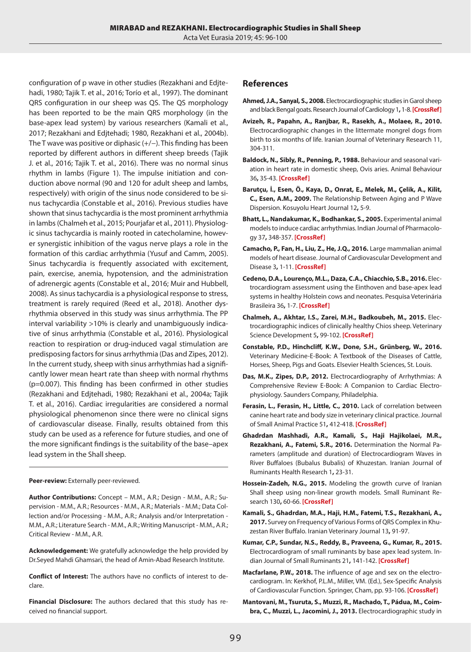configuration of p wave in other studies (Rezakhani and Edjtehadi, 1980; Tajik T. et al., 2016; Torío et al., 1997). The dominant QRS configuration in our sheep was QS. The QS morphology has been reported to be the main QRS morphology (in the base-apex lead system) by various researchers (Kamali et al., 2017; Rezakhani and Edjtehadi; 1980, Rezakhani et al., 2004b). The T wave was positive or diphasic (+/−). This finding has been reported by different authors in different sheep breeds (Tajik J. et al., 2016; Tajik T. et al., 2016). There was no normal sinus rhythm in lambs (Figure 1). The impulse initiation and conduction above normal (90 and 120 for adult sheep and lambs, respectively) with origin of the sinus node considered to be sinus tachycardia (Constable et al., 2016). Previous studies have shown that sinus tachycardia is the most prominent arrhythmia in lambs (Chalmeh et al., 2015; Pourjafar et al., 2011). Physiologic sinus tachycardia is mainly rooted in catecholamine, however synergistic inhibition of the vagus nerve plays a role in the formation of this cardiac arrhythmia (Yusuf and Camm, 2005). Sinus tachycardia is frequently associated with excitement, pain, exercise, anemia, hypotension, and the administration of adrenergic agents (Constable et al., 2016; Muir and Hubbell, 2008). As sinus tachycardia is a physiological response to stress, treatment is rarely required (Reed et al., 2018). Another dysrhythmia observed in this study was sinus arrhythmia. The PP interval variability >10% is clearly and unambiguously indicative of sinus arrhythmia (Constable et al., 2016). Physiological reaction to respiration or drug-induced vagal stimulation are predisposing factors for sinus arrhythmia (Das and Zipes, 2012). In the current study, sheep with sinus arrhythmias had a significantly lower mean heart rate than sheep with normal rhythms (p=0.007). This finding has been confirmed in other studies (Rezakhani and Edjtehadi, 1980; Rezakhani et al., 2004a; Tajik T. et al., 2016). Cardiac irregularities are considered a normal physiological phenomenon since there were no clinical signs of cardiovascular disease. Finally, results obtained from this study can be used as a reference for future studies, and one of the more significant findings is the suitability of the base–apex lead system in the Shall sheep.

#### Peer-review: Externally peer-reviewed.

**Author Contributions:** Concept – M.M., A.R.; Design - M.M., A.R.; Supervision - M.M., A.R.; Resources - M.M., A.R.; Materials - M.M.; Data Collection and/or Processing - M.M., A.R.; Analysis and/or Interpretation - M.M., A.R.; Literature Search - M.M., A.R.; Writing Manuscript - M.M., A.R.; Critical Review - M.M., A.R.

**Acknowledgement:** We gratefully acknowledge the help provided by Dr.Seyed Mahdi Ghamsari, the head of Amin-Abad Research Institute.

**Conflict of Interest:** The authors have no conflicts of interest to declare.

**Financial Disclosure:** The authors declared that this study has received no financial support.

## **References**

- **Ahmed, J.A., Sanyal, S., 2008.** Electrocardiographic studies in Garol sheep and black Bengal goats. Research Journal of Cardiology 1**,** 1-8. **[\[CrossRef\]](https://doi.org/10.3923/rjc.2008.1.8)**
- **Avizeh, R., Papahn, A., Ranjbar, R., Rasekh, A., Molaee, R., 2010.** Electrocardiographic changes in the littermate mongrel dogs from birth to six months of life. Iranian Journal of Veterinary Research 11, 304-311.
- **Baldock, N., Sibly, R., Penning, P., 1988.** Behaviour and seasonal variation in heart rate in domestic sheep, Ovis aries. Animal Behaviour 36**,** 35-43. **[\[CrossRef\]](https://doi.org/10.1016/S0003-3472(88)80247-1)**
- **Barutçu, İ., Esen, Ö., Kaya, D., Onrat, E., Melek, M., Çelik, A., Kilit, C., Esen, A.M., 2009.** The Relationship Between Aging and P Wave Dispersion. Kosuyolu Heart Journal 12**,** 5-9.
- **Bhatt, L., Nandakumar, K., Bodhankar, S., 2005.** Experimental animal models to induce cardiac arrhythmias. Indian Journal of Pharmacology 37**,** 348-357. **[\[CrossRef\]](https://doi.org/10.4103/0253-7613.19070)**
- **Camacho, P., Fan, H., Liu, Z., He, J.Q., 2016.** Large mammalian animal models of heart disease. Journal of Cardiovascular Development and Disease 3**,** 1-11. **[\[CrossRef\]](https://doi.org/10.3390/jcdd3040030)**
- **Cedeno, D.A., Lourenço, M.L., Daza, C.A., Chiacchio, S.B., 2016.** Electrocardiogram assessment using the Einthoven and base-apex lead systems in healthy Holstein cows and neonates. Pesquisa Veterinária Brasileira 36**,** 1-7. **[\[CrossRef\]](https://doi.org/10.1590/S0100-736X2016001300001)**
- **Chalmeh, A., Akhtar, I.S., Zarei, M.H., Badkoubeh, M., 2015.** Electrocardiographic indices of clinically healthy Chios sheep. Veterinary Science Development 5**,** 99-102. **[\[CrossRef\]](https://doi.org/10.4081/vsd.2015.5986)**
- **Constable, P.D., Hinchcliff, K.W., Done, S.H., Grünberg, W., 2016.** Veterinary Medicine-E-Book: A Textbook of the Diseases of Cattle, Horses, Sheep, Pigs and Goats. Elsevier Health Sciences, St. Louis.
- **Das, M.K., Zipes, D.P., 2012.** Electrocardiography of Arrhythmias: A Comprehensive Review E-Book: A Companion to Cardiac Electrophysiology. Saunders Company, Philadelphia.
- **Ferasin, L., Ferasin, H., Little, C., 2010.** Lack of correlation between canine heart rate and body size in veterinary clinical practice. Journal of Small Animal Practice 51**,** 412-418. **[\[CrossRef\]](https://doi.org/10.1111/j.1748-5827.2010.00954.x)**
- **Ghadrdan Mashhadi, A.R., Kamali, S., Haji Hajikolaei, M.R., Rezakhani, A., Fatemi, S.R., 2016.** Determination the Normal Parameters (amplitude and duration) of Electrocardiogram Waves in River Buffaloes (Bubalus Bubalis) of Khuzestan. Iranian Journal of Ruminants Health Research 1**,** 23-31.
- **Hossein-Zadeh, N.G., 2015.** Modeling the growth curve of Iranian Shall sheep using non-linear growth models. Small Ruminant Research 130**,** 60-66. **[\[CrossRef\]](https://doi.org/10.1016/j.smallrumres.2015.07.014)**
- **Kamali, S., Ghadrdan, M.A., Haji, H.M., Fatemi, T.S., Rezakhani, A., 2017.** Survey on Frequency of Various Forms of QRS Complex in Khuzestan River Buffalo. Iranian Veterinary Journal 13**,** 91-97.
- **Kumar, C.P., Sundar, N.S., Reddy, B., Praveena, G., Kumar, R., 2015.**  Electrocardiogram of small ruminants by base apex lead system. Indian Journal of Small Ruminants 21**,** 141-142. **[\[CrossRef\]](https://doi.org/10.5958/0973-9718.2015.00033.1)**
- **Macfarlane, P.W., 2018.** The influence of age and sex on the electrocardiogram. In: Kerkhof, P.L.M., Miller, VM. (Ed.), Sex-Specific Analysis of Cardiovascular Function. Springer, Cham, pp. 93-106. **[\[CrossRef\]](https://doi.org/10.1007/978-3-319-77932-4_6)**
- **Mantovani, M., Tsuruta, S., Muzzi, R., Machado, T., Pádua, M., Coimbra, C., Muzzi, L., Jacomini, J., 2013.** Electrocardiographic study in